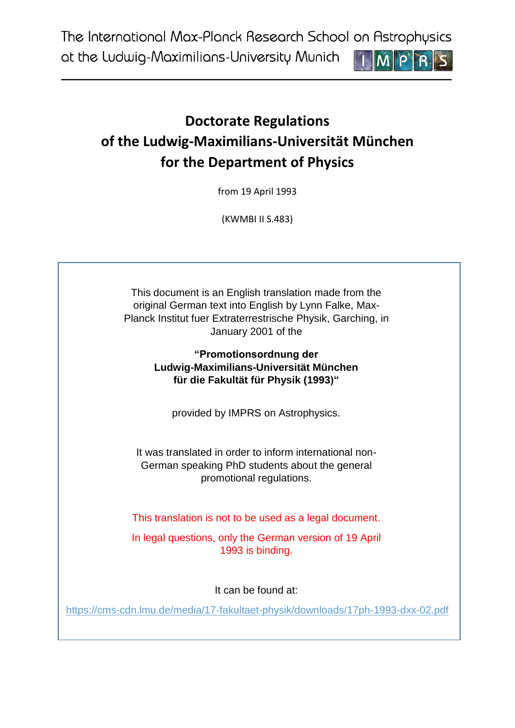The International Max-Planck Research School on Astrophysics

at the Ludwig-Maximilians-University Munich



# **Doctorate Regulations of the Ludwig-Maximilians-Universität München for the Department of Physics**

from 19 April 1993

(KWMBI II S.483)

This document is an English translation made from the original German text into English by Lynn Falke, Max-Planck Institut fuer Extraterrestrische Physik, Garching, in January 2001 of the

> **"Promotionsordnung der Ludwig-Maximilians-Universität München für die Fakultät für Physik (1993)"**

provided by IMPRS on Astrophysics.

It was translated in order to inform international non-German speaking PhD students about the general promotional regulations.

This translation is not to be used as a legal document.

In legal questions, only the German version of 19 April 1993 is binding.

It can be found at:

<https://cms-cdn.lmu.de/media/17-fakultaet-physik/downloads/17ph-1993-dxx-02.pdf>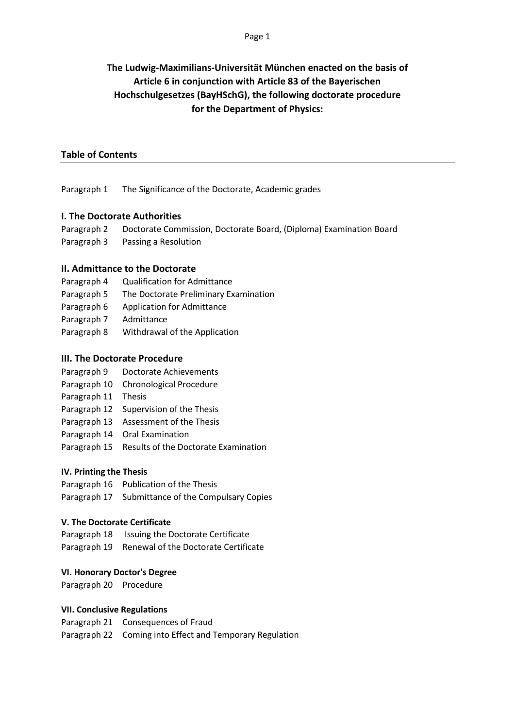## **The Ludwig-Maximilians-Universität München enacted on the basis of Article 6 in conjunction with Article 83 of the Bayerischen Hochschulgesetzes (BayHSchG), the following doctorate procedure for the Department of Physics:**

#### **Table of Contents**

Paragraph 1 The Significance of the Doctorate, Academic grades

#### **I. The Doctorate Authorities**

- Paragraph 2 Doctorate Commission, Doctorate Board, (Diploma) Examination Board
- Paragraph 3 Passing a Resolution

#### **II. Admittance to the Doctorate**

- Paragraph 4 Qualification for Admittance
- Paragraph 5 The Doctorate Preliminary Examination
- Paragraph 6 Application for Admittance
- Paragraph 7 Admittance
- Paragraph 8 Withdrawal of the Application

#### **III. The Doctorate Procedure**

- Paragraph 9 Doctorate Achievements
- Paragraph 10 Chronological Procedure
- Paragraph 11 Thesis
- Paragraph 12 Supervision of the Thesis
- Paragraph 13 Assessment of the Thesis
- Paragraph 14 Oral Examination
- Paragraph 15 Results of the Doctorate Examination

#### **IV. Printing the Thesis**

Paragraph 16 Publication of the Thesis Paragraph 17 Submittance of the Compulsary Copies

#### **V. The Doctorate Certificate**

Paragraph 18 Issuing the Doctorate Certificate

## Paragraph 19 Renewal of the Doctorate Certificate

#### **VI. Honorary Doctor's Degree**

Paragraph 20 Procedure

#### **VII. Conclusive Regulations**

Paragraph 21 Consequences of Fraud Paragraph 22 Coming into Effect and Temporary Regulation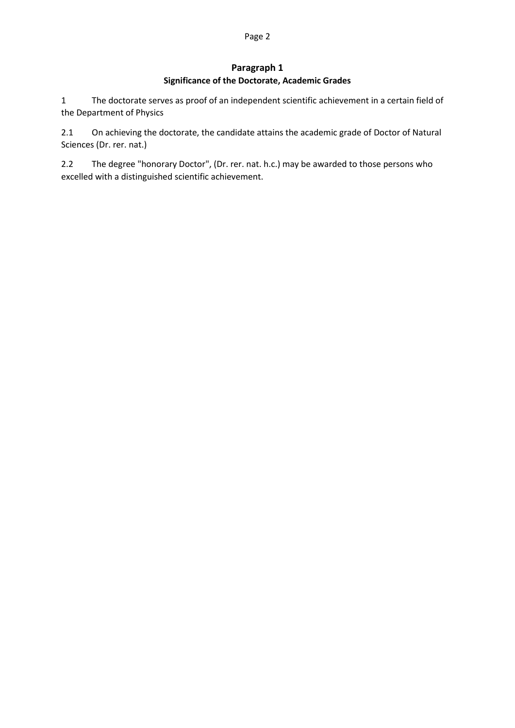#### Page 2

#### **Paragraph 1 Significance of the Doctorate, Academic Grades**

1 The doctorate serves as proof of an independent scientific achievement in a certain field of the Department of Physics

2.1 On achieving the doctorate, the candidate attains the academic grade of Doctor of Natural Sciences (Dr. rer. nat.)

2.2 The degree "honorary Doctor", (Dr. rer. nat. h.c.) may be awarded to those persons who excelled with a distinguished scientific achievement.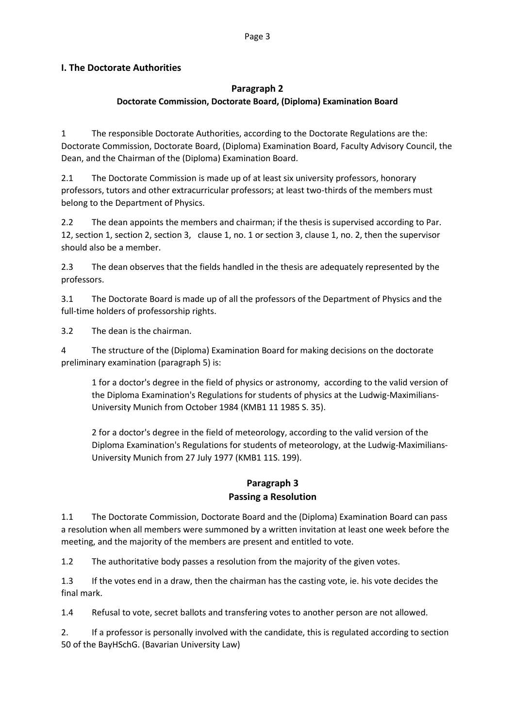#### Page 3

#### **I. The Doctorate Authorities**

#### **Paragraph 2**

#### **Doctorate Commission, Doctorate Board, (Diploma) Examination Board**

1 The responsible Doctorate Authorities, according to the Doctorate Regulations are the: Doctorate Commission, Doctorate Board, (Diploma) Examination Board, Faculty Advisory Council, the Dean, and the Chairman of the (Diploma) Examination Board.

2.1 The Doctorate Commission is made up of at least six university professors, honorary professors, tutors and other extracurricular professors; at least two-thirds of the members must belong to the Department of Physics.

2.2 The dean appoints the members and chairman; if the thesis is supervised according to Par. 12, section 1, section 2, section 3, clause 1, no. 1 or section 3, clause 1, no. 2, then the supervisor should also be a member.

2.3 The dean observes that the fields handled in the thesis are adequately represented by the professors.

3.1 The Doctorate Board is made up of all the professors of the Department of Physics and the full-time holders of professorship rights.

3.2 The dean is the chairman.

4 The structure of the (Diploma) Examination Board for making decisions on the doctorate preliminary examination (paragraph 5) is:

1 for a doctor's degree in the field of physics or astronomy, according to the valid version of the Diploma Examination's Regulations for students of physics at the Ludwig-Maximilians-University Munich from October 1984 (KMB1 11 1985 S. 35).

2 for a doctor's degree in the field of meteorology, according to the valid version of the Diploma Examination's Regulations for students of meteorology, at the Ludwig-Maximilians-University Munich from 27 July 1977 (KMB1 11S. 199).

## **Paragraph 3 Passing a Resolution**

1.1 The Doctorate Commission, Doctorate Board and the (Diploma) Examination Board can pass a resolution when all members were summoned by a written invitation at least one week before the meeting, and the majority of the members are present and entitled to vote.

1.2 The authoritative body passes a resolution from the majority of the given votes.

1.3 If the votes end in a draw, then the chairman has the casting vote, ie. his vote decides the final mark.

1.4 Refusal to vote, secret ballots and transfering votes to another person are not allowed.

2. If a professor is personally involved with the candidate, this is regulated according to section 50 of the BayHSchG. (Bavarian University Law)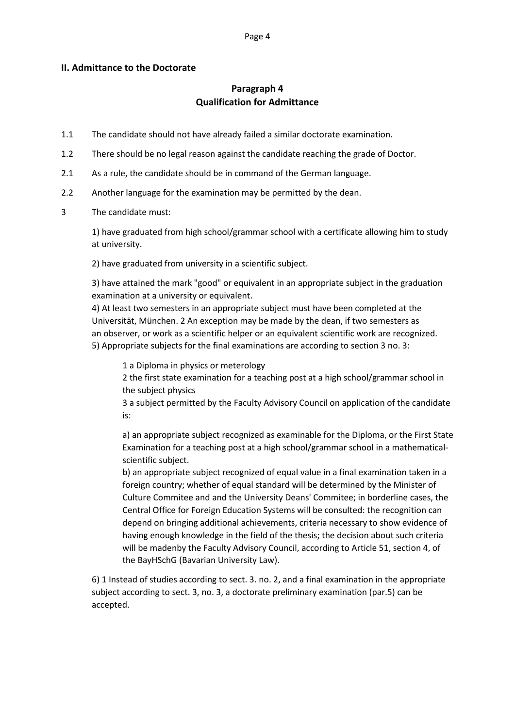#### Page 4

#### **II. Admittance to the Doctorate**

## **Paragraph 4 Qualification for Admittance**

- 1.1 The candidate should not have already failed a similar doctorate examination.
- 1.2 There should be no legal reason against the candidate reaching the grade of Doctor.
- 2.1 As a rule, the candidate should be in command of the German language.
- 2.2 Another language for the examination may be permitted by the dean.
- 3 The candidate must:

1) have graduated from high school/grammar school with a certificate allowing him to study at university.

2) have graduated from university in a scientific subject.

3) have attained the mark "good" or equivalent in an appropriate subject in the graduation examination at a university or equivalent.

4) At least two semesters in an appropriate subject must have been completed at the Universität, München. 2 An exception may be made by the dean, if two semesters as an observer, or work as a scientific helper or an equivalent scientific work are recognized. 5) Appropriate subjects for the final examinations are according to section 3 no. 3:

1 a Diploma in physics or meterology

2 the first state examination for a teaching post at a high school/grammar school in the subject physics

3 a subject permitted by the Faculty Advisory Council on application of the candidate is:

a) an appropriate subject recognized as examinable for the Diploma, or the First State Examination for a teaching post at a high school/grammar school in a mathematicalscientific subject.

b) an appropriate subject recognized of equal value in a final examination taken in a foreign country; whether of equal standard will be determined by the Minister of Culture Commitee and and the University Deans' Commitee; in borderline cases, the Central Office for Foreign Education Systems will be consulted: the recognition can depend on bringing additional achievements, criteria necessary to show evidence of having enough knowledge in the field of the thesis; the decision about such criteria will be madenby the Faculty Advisory Council, according to Article 51, section 4, of the BayHSchG (Bavarian University Law).

6) 1 Instead of studies according to sect. 3. no. 2, and a final examination in the appropriate subject according to sect. 3, no. 3, a doctorate preliminary examination (par.5) can be accepted.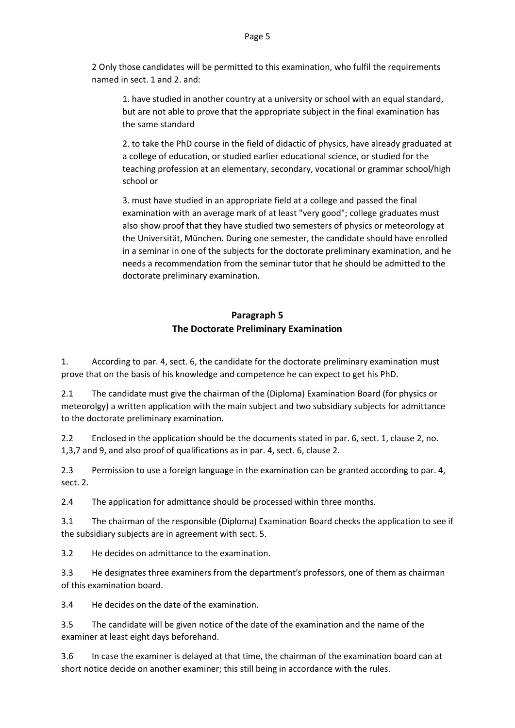2 Only those candidates will be permitted to this examination, who fulfil the requirements named in sect. 1 and 2. and:

1. have studied in another country at a university or school with an equal standard, but are not able to prove that the appropriate subject in the final examination has the same standard

2. to take the PhD course in the field of didactic of physics, have already graduated at a college of education, or studied earlier educational science, or studied for the teaching profession at an elementary, secondary, vocational or grammar school/high school or

3. must have studied in an appropriate field at a college and passed the final examination with an average mark of at least "very good"; college graduates must also show proof that they have studied two semesters of physics or meteorology at the Universität, München. During one semester, the candidate should have enrolled in a seminar in one of the subjects for the doctorate preliminary examination, and he needs a recommendation from the seminar tutor that he should be admitted to the doctorate preliminary examination.

## **Paragraph 5 The Doctorate Preliminary Examination**

1. According to par. 4, sect. 6, the candidate for the doctorate preliminary examination must prove that on the basis of his knowledge and competence he can expect to get his PhD.

2.1 The candidate must give the chairman of the (Diploma) Examination Board (for physics or meteorolgy) a written application with the main subject and two subsidiary subjects for admittance to the doctorate preliminary examination.

2.2 Enclosed in the application should be the documents stated in par. 6, sect. 1, clause 2, no. 1,3,7 and 9, and also proof of qualifications as in par. 4, sect. 6, clause 2.

2.3 Permission to use a foreign language in the examination can be granted according to par. 4, sect. 2.

2.4 The application for admittance should be processed within three months.

3.1 The chairman of the responsible (Diploma) Examination Board checks the application to see if the subsidiary subjects are in agreement with sect. 5.

3.2 He decides on admittance to the examination.

3.3 He designates three examiners from the department's professors, one of them as chairman of this examination board.

3.4 He decides on the date of the examination.

3.5 The candidate will be given notice of the date of the examination and the name of the examiner at least eight days beforehand.

3.6 In case the examiner is delayed at that time, the chairman of the examination board can at short notice decide on another examiner; this still being in accordance with the rules.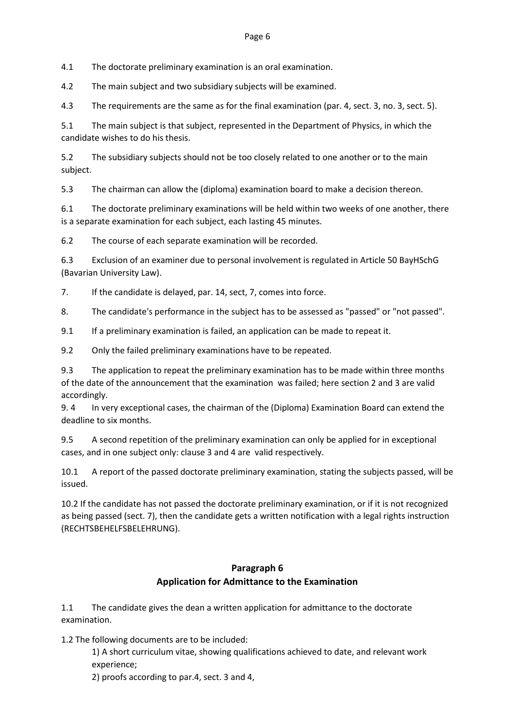4.1 The doctorate preliminary examination is an oral examination.

4.2 The main subject and two subsidiary subjects will be examined.

4.3 The requirements are the same as for the final examination (par. 4, sect. 3, no. 3, sect. 5).

5.1 The main subject is that subject, represented in the Department of Physics, in which the candidate wishes to do his thesis.

5.2 The subsidiary subjects should not be too closely related to one another or to the main subject.

5.3 The chairman can allow the (diploma) examination board to make a decision thereon.

6.1 The doctorate preliminary examinations will be held within two weeks of one another, there is a separate examination for each subject, each lasting 45 minutes.

6.2 The course of each separate examination will be recorded.

6.3 Exclusion of an examiner due to personal involvement is regulated in Article 50 BayHSchG (Bavarian University Law).

7. If the candidate is delayed, par. 14, sect, 7, comes into force.

8. The candidate's performance in the subject has to be assessed as "passed" or "not passed".

9.1 If a preliminary examination is failed, an application can be made to repeat it.

9.2 Only the failed preliminary examinations have to be repeated.

9.3 The application to repeat the preliminary examination has to be made within three months of the date of the announcement that the examination was failed; here section 2 and 3 are valid accordingly.

9. 4 In very exceptional cases, the chairman of the (Diploma) Examination Board can extend the deadline to six months.

9.5 A second repetition of the preliminary examination can only be applied for in exceptional cases, and in one subject only: clause 3 and 4 are valid respectively.

10.1 A report of the passed doctorate preliminary examination, stating the subjects passed, will be issued.

10.2 If the candidate has not passed the doctorate preliminary examination, or if it is not recognized as being passed (sect. 7), then the candidate gets a written notification with a legal rights instruction (RECHTSBEHELFSBELEHRUNG).

## **Paragraph 6 Application for Admittance to the Examination**

1.1 The candidate gives the dean a written application for admittance to the doctorate examination.

1.2 The following documents are to be included:

1) A short curriculum vitae, showing qualifications achieved to date, and relevant work experience;

2) proofs according to par.4, sect. 3 and 4,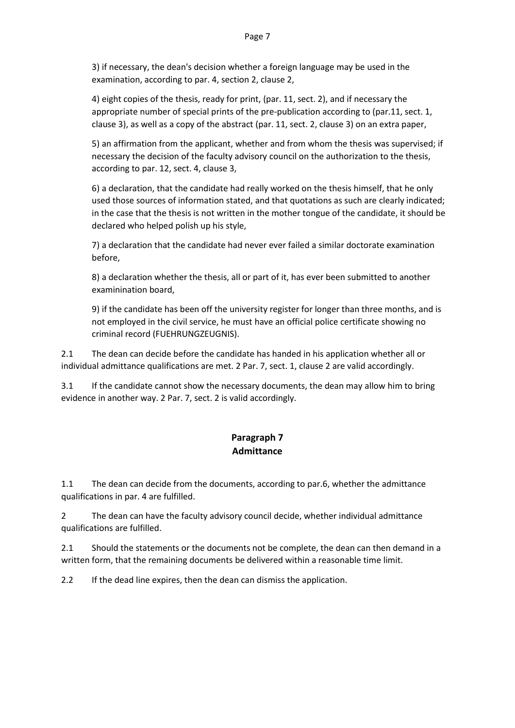3) if necessary, the dean's decision whether a foreign language may be used in the examination, according to par. 4, section 2, clause 2,

4) eight copies of the thesis, ready for print, (par. 11, sect. 2), and if necessary the appropriate number of special prints of the pre-publication according to (par.11, sect. 1, clause 3), as well as a copy of the abstract (par. 11, sect. 2, clause 3) on an extra paper,

5) an affirmation from the applicant, whether and from whom the thesis was supervised; if necessary the decision of the faculty advisory council on the authorization to the thesis, according to par. 12, sect. 4, clause 3,

6) a declaration, that the candidate had really worked on the thesis himself, that he only used those sources of information stated, and that quotations as such are clearly indicated; in the case that the thesis is not written in the mother tongue of the candidate, it should be declared who helped polish up his style,

7) a declaration that the candidate had never ever failed a similar doctorate examination before,

8) a declaration whether the thesis, all or part of it, has ever been submitted to another examinination board,

9) if the candidate has been off the university register for longer than three months, and is not employed in the civil service, he must have an official police certificate showing no criminal record (FUEHRUNGZEUGNIS).

2.1 The dean can decide before the candidate has handed in his application whether all or individual admittance qualifications are met. 2 Par. 7, sect. 1, clause 2 are valid accordingly.

3.1 If the candidate cannot show the necessary documents, the dean may allow him to bring evidence in another way. 2 Par. 7, sect. 2 is valid accordingly.

## **Paragraph 7 Admittance**

1.1 The dean can decide from the documents, according to par.6, whether the admittance qualifications in par. 4 are fulfilled.

2 The dean can have the faculty advisory council decide, whether individual admittance qualifications are fulfilled.

2.1 Should the statements or the documents not be complete, the dean can then demand in a written form, that the remaining documents be delivered within a reasonable time limit.

2.2 If the dead line expires, then the dean can dismiss the application.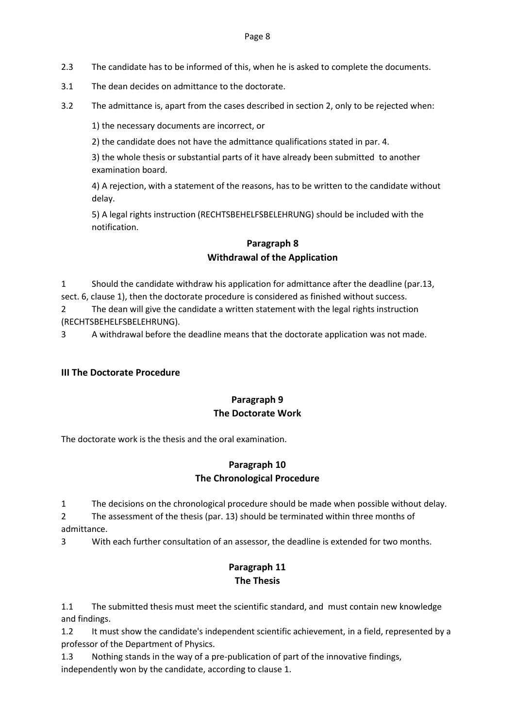- 2.3 The candidate has to be informed of this, when he is asked to complete the documents.
- 3.1 The dean decides on admittance to the doctorate.
- 3.2 The admittance is, apart from the cases described in section 2, only to be rejected when:

1) the necessary documents are incorrect, or

2) the candidate does not have the admittance qualifications stated in par. 4.

3) the whole thesis or substantial parts of it have already been submitted to another examination board.

4) A rejection, with a statement of the reasons, has to be written to the candidate without delay.

5) A legal rights instruction (RECHTSBEHELFSBELEHRUNG) should be included with the notification.

## **Paragraph 8 Withdrawal of the Application**

1 Should the candidate withdraw his application for admittance after the deadline (par.13, sect. 6, clause 1), then the doctorate procedure is considered as finished without success.

2 The dean will give the candidate a written statement with the legal rights instruction (RECHTSBEHELFSBELEHRUNG).

3 A withdrawal before the deadline means that the doctorate application was not made.

#### **III The Doctorate Procedure**

## **Paragraph 9 The Doctorate Work**

The doctorate work is the thesis and the oral examination.

## **Paragraph 10 The Chronological Procedure**

1 The decisions on the chronological procedure should be made when possible without delay.

2 The assessment of the thesis (par. 13) should be terminated within three months of admittance.

3 With each further consultation of an assessor, the deadline is extended for two months.

## **Paragraph 11 The Thesis**

1.1 The submitted thesis must meet the scientific standard, and must contain new knowledge and findings.

1.2 It must show the candidate's independent scientific achievement, in a field, represented by a professor of the Department of Physics.

1.3 Nothing stands in the way of a pre-publication of part of the innovative findings, independently won by the candidate, according to clause 1.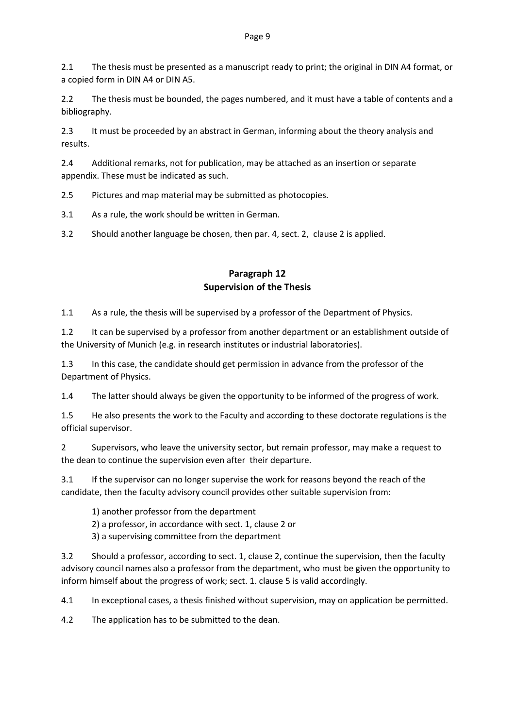2.1 The thesis must be presented as a manuscript ready to print; the original in DIN A4 format, or a copied form in DIN A4 or DIN A5.

2.2 The thesis must be bounded, the pages numbered, and it must have a table of contents and a bibliography.

2.3 It must be proceeded by an abstract in German, informing about the theory analysis and results.

2.4 Additional remarks, not for publication, may be attached as an insertion or separate appendix. These must be indicated as such.

2.5 Pictures and map material may be submitted as photocopies.

3.1 As a rule, the work should be written in German.

3.2 Should another language be chosen, then par. 4, sect. 2, clause 2 is applied.

## **Paragraph 12 Supervision of the Thesis**

1.1 As a rule, the thesis will be supervised by a professor of the Department of Physics.

1.2 It can be supervised by a professor from another department or an establishment outside of the University of Munich (e.g. in research institutes or industrial laboratories).

1.3 In this case, the candidate should get permission in advance from the professor of the Department of Physics.

1.4 The latter should always be given the opportunity to be informed of the progress of work.

1.5 He also presents the work to the Faculty and according to these doctorate regulations is the official supervisor.

2 Supervisors, who leave the university sector, but remain professor, may make a request to the dean to continue the supervision even after their departure.

3.1 If the supervisor can no longer supervise the work for reasons beyond the reach of the candidate, then the faculty advisory council provides other suitable supervision from:

1) another professor from the department

2) a professor, in accordance with sect. 1, clause 2 or

3) a supervising committee from the department

3.2 Should a professor, according to sect. 1, clause 2, continue the supervision, then the faculty advisory council names also a professor from the department, who must be given the opportunity to inform himself about the progress of work; sect. 1. clause 5 is valid accordingly.

4.1 In exceptional cases, a thesis finished without supervision, may on application be permitted.

4.2 The application has to be submitted to the dean.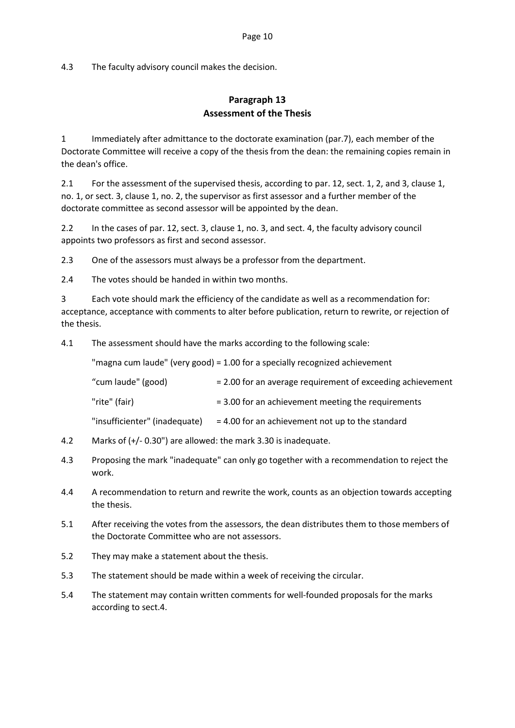4.3 The faculty advisory council makes the decision.

## **Paragraph 13 Assessment of the Thesis**

1 Immediately after admittance to the doctorate examination (par.7), each member of the Doctorate Committee will receive a copy of the thesis from the dean: the remaining copies remain in the dean's office.

2.1 For the assessment of the supervised thesis, according to par. 12, sect. 1, 2, and 3, clause 1, no. 1, or sect. 3, clause 1, no. 2, the supervisor as first assessor and a further member of the doctorate committee as second assessor will be appointed by the dean.

2.2 In the cases of par. 12, sect. 3, clause 1, no. 3, and sect. 4, the faculty advisory council appoints two professors as first and second assessor.

2.3 One of the assessors must always be a professor from the department.

2.4 The votes should be handed in within two months.

3 Each vote should mark the efficiency of the candidate as well as a recommendation for: acceptance, acceptance with comments to alter before publication, return to rewrite, or rejection of the thesis.

4.1 The assessment should have the marks according to the following scale:

"magna cum laude" (very good) = 1.00 for a specially recognized achievement

| "cum laude" (good) | = 2.00 for an average requirement of exceeding achievement |
|--------------------|------------------------------------------------------------|
|                    |                                                            |

| "rite" (fair) | = 3.00 for an achievement meeting the requirements |  |
|---------------|----------------------------------------------------|--|
|---------------|----------------------------------------------------|--|

"insufficienter" (inadequate)  $= 4.00$  for an achievement not up to the standard

- 4.2 Marks of (+/- 0.30") are allowed: the mark 3.30 is inadequate.
- 4.3 Proposing the mark "inadequate" can only go together with a recommendation to reject the work.
- 4.4 A recommendation to return and rewrite the work, counts as an objection towards accepting the thesis.
- 5.1 After receiving the votes from the assessors, the dean distributes them to those members of the Doctorate Committee who are not assessors.
- 5.2 They may make a statement about the thesis.
- 5.3 The statement should be made within a week of receiving the circular.
- 5.4 The statement may contain written comments for well-founded proposals for the marks according to sect.4.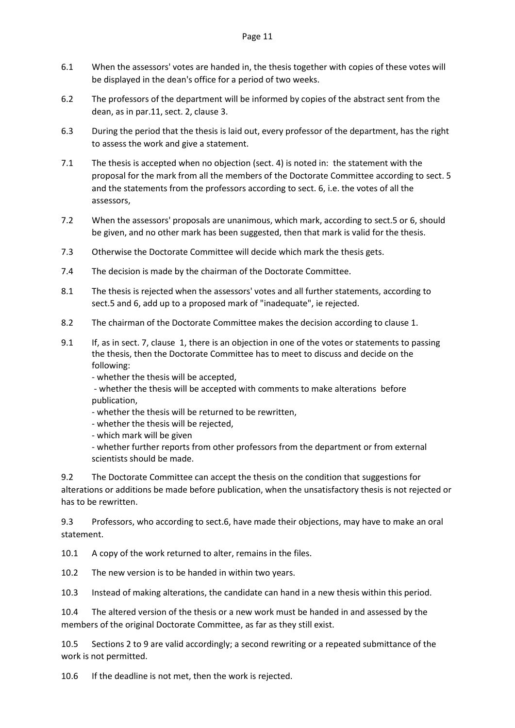- 6.1 When the assessors' votes are handed in, the thesis together with copies of these votes will be displayed in the dean's office for a period of two weeks.
- 6.2 The professors of the department will be informed by copies of the abstract sent from the dean, as in par.11, sect. 2, clause 3.
- 6.3 During the period that the thesis is laid out, every professor of the department, has the right to assess the work and give a statement.
- 7.1 The thesis is accepted when no objection (sect. 4) is noted in: the statement with the proposal for the mark from all the members of the Doctorate Committee according to sect. 5 and the statements from the professors according to sect. 6, i.e. the votes of all the assessors,
- 7.2 When the assessors' proposals are unanimous, which mark, according to sect.5 or 6, should be given, and no other mark has been suggested, then that mark is valid for the thesis.
- 7.3 Otherwise the Doctorate Committee will decide which mark the thesis gets.
- 7.4 The decision is made by the chairman of the Doctorate Committee.
- 8.1 The thesis is rejected when the assessors' votes and all further statements, according to sect.5 and 6, add up to a proposed mark of "inadequate", ie rejected.
- 8.2 The chairman of the Doctorate Committee makes the decision according to clause 1.
- 9.1 If, as in sect. 7, clause 1, there is an objection in one of the votes or statements to passing the thesis, then the Doctorate Committee has to meet to discuss and decide on the following:

- whether the thesis will be accepted,

- whether the thesis will be accepted with comments to make alterations before publication,

- whether the thesis will be returned to be rewritten,
- whether the thesis will be rejected,
- which mark will be given

- whether further reports from other professors from the department or from external scientists should be made.

9.2 The Doctorate Committee can accept the thesis on the condition that suggestions for alterations or additions be made before publication, when the unsatisfactory thesis is not rejected or has to be rewritten.

9.3 Professors, who according to sect.6, have made their objections, may have to make an oral statement.

10.1 A copy of the work returned to alter, remains in the files.

10.2 The new version is to be handed in within two years.

10.3 Instead of making alterations, the candidate can hand in a new thesis within this period.

10.4 The altered version of the thesis or a new work must be handed in and assessed by the members of the original Doctorate Committee, as far as they still exist.

10.5 Sections 2 to 9 are valid accordingly; a second rewriting or a repeated submittance of the work is not permitted.

10.6 If the deadline is not met, then the work is rejected.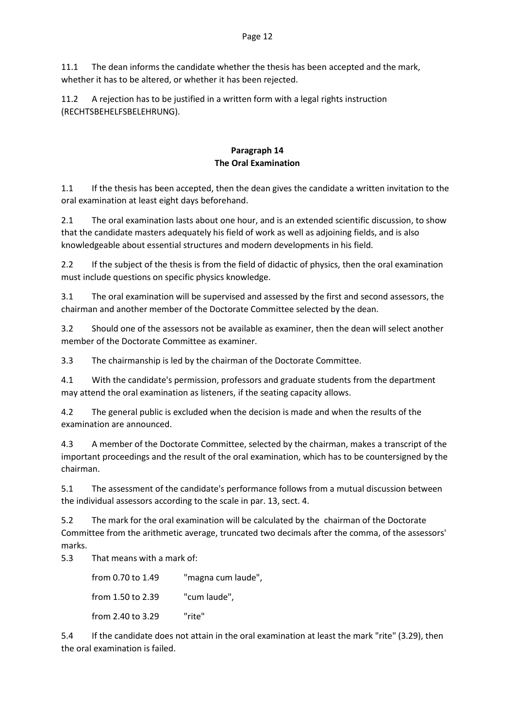11.1 The dean informs the candidate whether the thesis has been accepted and the mark, whether it has to be altered, or whether it has been rejected.

11.2 A rejection has to be justified in a written form with a legal rights instruction (RECHTSBEHELFSBELEHRUNG).

#### **Paragraph 14 The Oral Examination**

1.1 If the thesis has been accepted, then the dean gives the candidate a written invitation to the oral examination at least eight days beforehand.

2.1 The oral examination lasts about one hour, and is an extended scientific discussion, to show that the candidate masters adequately his field of work as well as adjoining fields, and is also knowledgeable about essential structures and modern developments in his field.

2.2 If the subject of the thesis is from the field of didactic of physics, then the oral examination must include questions on specific physics knowledge.

3.1 The oral examination will be supervised and assessed by the first and second assessors, the chairman and another member of the Doctorate Committee selected by the dean.

3.2 Should one of the assessors not be available as examiner, then the dean will select another member of the Doctorate Committee as examiner.

3.3 The chairmanship is led by the chairman of the Doctorate Committee.

4.1 With the candidate's permission, professors and graduate students from the department may attend the oral examination as listeners, if the seating capacity allows.

4.2 The general public is excluded when the decision is made and when the results of the examination are announced.

4.3 A member of the Doctorate Committee, selected by the chairman, makes a transcript of the important proceedings and the result of the oral examination, which has to be countersigned by the chairman.

5.1 The assessment of the candidate's performance follows from a mutual discussion between the individual assessors according to the scale in par. 13, sect. 4.

5.2 The mark for the oral examination will be calculated by the chairman of the Doctorate Committee from the arithmetic average, truncated two decimals after the comma, of the assessors' marks.

5.3 That means with a mark of:

from 0.70 to 1.49 "magna cum laude", from 1.50 to 2.39 "cum laude", from 2.40 to 3.29 "rite"

5.4 If the candidate does not attain in the oral examination at least the mark "rite" (3.29), then the oral examination is failed.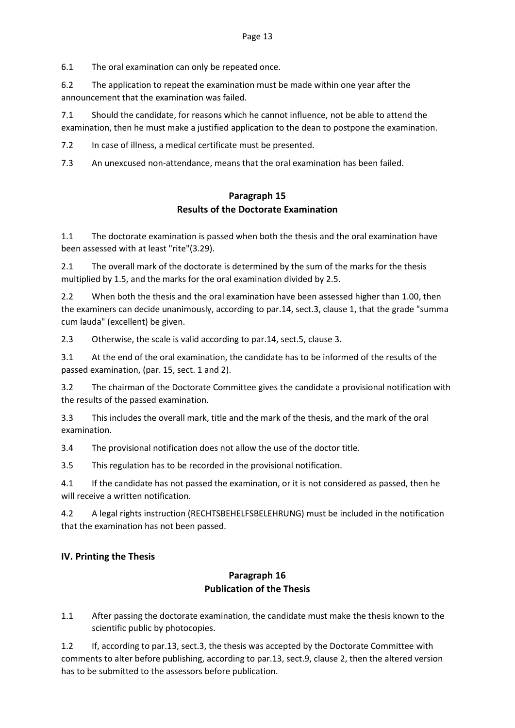6.1 The oral examination can only be repeated once.

6.2 The application to repeat the examination must be made within one year after the announcement that the examination was failed.

7.1 Should the candidate, for reasons which he cannot influence, not be able to attend the examination, then he must make a justified application to the dean to postpone the examination.

7.2 In case of illness, a medical certificate must be presented.

7.3 An unexcused non-attendance, means that the oral examination has been failed.

## **Paragraph 15 Results of the Doctorate Examination**

1.1 The doctorate examination is passed when both the thesis and the oral examination have been assessed with at least "rite"(3.29).

2.1 The overall mark of the doctorate is determined by the sum of the marks for the thesis multiplied by 1.5, and the marks for the oral examination divided by 2.5.

2.2 When both the thesis and the oral examination have been assessed higher than 1.00, then the examiners can decide unanimously, according to par.14, sect.3, clause 1, that the grade "summa cum lauda" (excellent) be given.

2.3 Otherwise, the scale is valid according to par.14, sect.5, clause 3.

3.1 At the end of the oral examination, the candidate has to be informed of the results of the passed examination, (par. 15, sect. 1 and 2).

3.2 The chairman of the Doctorate Committee gives the candidate a provisional notification with the results of the passed examination.

3.3 This includes the overall mark, title and the mark of the thesis, and the mark of the oral examination.

3.4 The provisional notification does not allow the use of the doctor title.

3.5 This regulation has to be recorded in the provisional notification.

4.1 If the candidate has not passed the examination, or it is not considered as passed, then he will receive a written notification.

4.2 A legal rights instruction (RECHTSBEHELFSBELEHRUNG) must be included in the notification that the examination has not been passed.

#### **IV. Printing the Thesis**

## **Paragraph 16 Publication of the Thesis**

1.1 After passing the doctorate examination, the candidate must make the thesis known to the scientific public by photocopies.

1.2 If, according to par.13, sect.3, the thesis was accepted by the Doctorate Committee with comments to alter before publishing, according to par.13, sect.9, clause 2, then the altered version has to be submitted to the assessors before publication.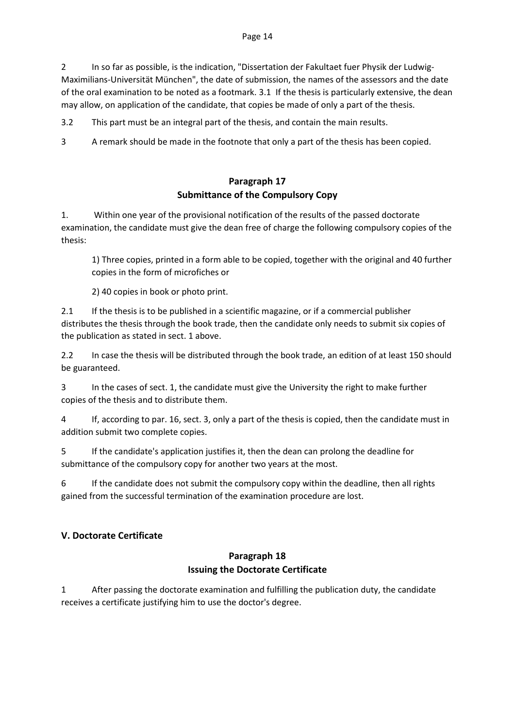2 In so far as possible, is the indication, "Dissertation der Fakultaet fuer Physik der Ludwig-Maximilians-Universität München", the date of submission, the names of the assessors and the date of the oral examination to be noted as a footmark. 3.1 If the thesis is particularly extensive, the dean may allow, on application of the candidate, that copies be made of only a part of the thesis.

3.2 This part must be an integral part of the thesis, and contain the main results.

3 A remark should be made in the footnote that only a part of the thesis has been copied.

## **Paragraph 17 Submittance of the Compulsory Copy**

1. Within one year of the provisional notification of the results of the passed doctorate examination, the candidate must give the dean free of charge the following compulsory copies of the thesis:

1) Three copies, printed in a form able to be copied, together with the original and 40 further copies in the form of microfiches or

2) 40 copies in book or photo print.

2.1 If the thesis is to be published in a scientific magazine, or if a commercial publisher distributes the thesis through the book trade, then the candidate only needs to submit six copies of the publication as stated in sect. 1 above.

2.2 In case the thesis will be distributed through the book trade, an edition of at least 150 should be guaranteed.

3 In the cases of sect. 1, the candidate must give the University the right to make further copies of the thesis and to distribute them.

4 If, according to par. 16, sect. 3, only a part of the thesis is copied, then the candidate must in addition submit two complete copies.

5 If the candidate's application justifies it, then the dean can prolong the deadline for submittance of the compulsory copy for another two years at the most.

6 If the candidate does not submit the compulsory copy within the deadline, then all rights gained from the successful termination of the examination procedure are lost.

## **V. Doctorate Certificate**

## **Paragraph 18 Issuing the Doctorate Certificate**

1 After passing the doctorate examination and fulfilling the publication duty, the candidate receives a certificate justifying him to use the doctor's degree.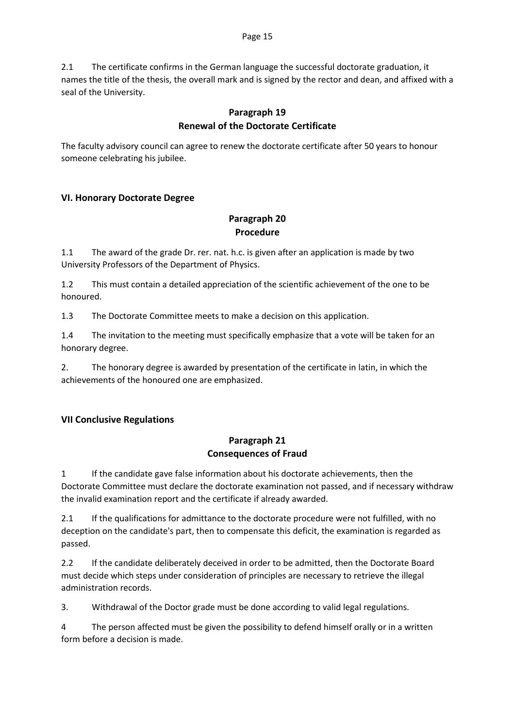2.1 The certificate confirms in the German language the successful doctorate graduation, it names the title of the thesis, the overall mark and is signed by the rector and dean, and affixed with a seal of the University.

## **Paragraph 19 Renewal of the Doctorate Certificate**

The faculty advisory council can agree to renew the doctorate certificate after 50 years to honour someone celebrating his jubilee.

## **VI. Honorary Doctorate Degree**

## **Paragraph 20 Procedure**

1.1 The award of the grade Dr. rer. nat. h.c. is given after an application is made by two University Professors of the Department of Physics.

1.2 This must contain a detailed appreciation of the scientific achievement of the one to be honoured.

1.3 The Doctorate Committee meets to make a decision on this application.

1.4 The invitation to the meeting must specifically emphasize that a vote will be taken for an honorary degree.

2. The honorary degree is awarded by presentation of the certificate in latin, in which the achievements of the honoured one are emphasized.

## **VII Conclusive Regulations**

## **Paragraph 21 Consequences of Fraud**

1 If the candidate gave false information about his doctorate achievements, then the Doctorate Committee must declare the doctorate examination not passed, and if necessary withdraw the invalid examination report and the certificate if already awarded.

2.1 If the qualifications for admittance to the doctorate procedure were not fulfilled, with no deception on the candidate's part, then to compensate this deficit, the examination is regarded as passed.

2.2 If the candidate deliberately deceived in order to be admitted, then the Doctorate Board must decide which steps under consideration of principles are necessary to retrieve the illegal administration records.

3. Withdrawal of the Doctor grade must be done according to valid legal regulations.

4 The person affected must be given the possibility to defend himself orally or in a written form before a decision is made.